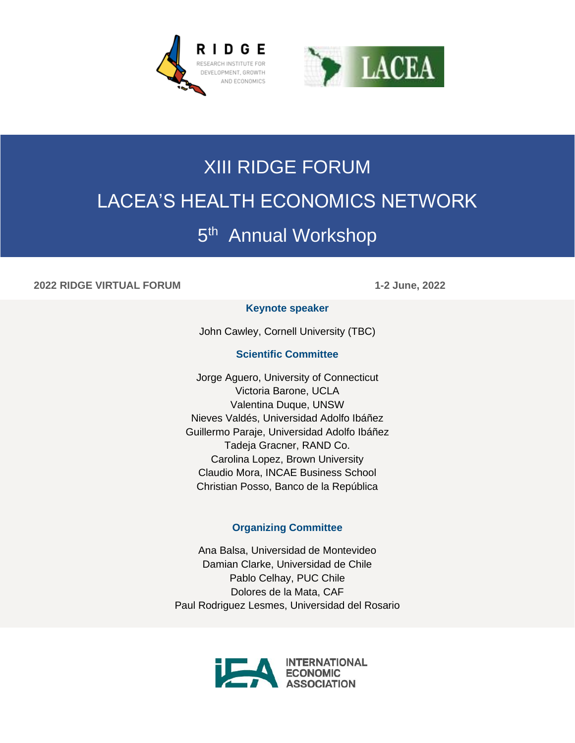



# XIII RIDGE FORUM LACEA'S HEALTH ECONOMICS NETWORK 5<sup>th</sup> Annual Workshop

## **2022 RIDGE VIRTUAL FORUM 1-2 June, 2022**

### **Keynote speaker**

John Cawley, Cornell University (TBC)

## **Scientific Committee**

Jorge Aguero, University of Connecticut Victoria Barone, UCLA Valentina Duque, UNSW Nieves Valdés, Universidad Adolfo Ibáñez Guillermo Paraje, Universidad Adolfo Ibáñez Tadeja Gracner, RAND Co. Carolina Lopez, Brown University Claudio Mora, INCAE Business School Christian Posso, Banco de la República

### **Organizing Committee**

Ana Balsa, Universidad de Montevideo Damian Clarke, Universidad de Chile Pablo Celhay, PUC Chile Dolores de la Mata, CAF Paul Rodriguez Lesmes, Universidad del Rosario

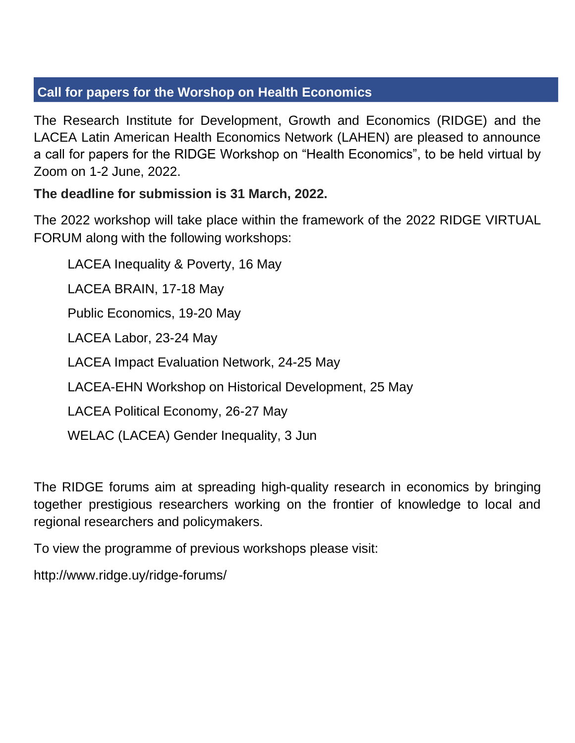# **Call for papers for the Worshop on Health Economics**

The Research Institute for Development, Growth and Economics (RIDGE) and the LACEA Latin American Health Economics Network (LAHEN) are pleased to announce a call for papers for the RIDGE Workshop on "Health Economics", to be held virtual by Zoom on 1-2 June, 2022.

# **The deadline for submission is 31 March, 2022.**

The 2022 workshop will take place within the framework of the 2022 RIDGE VIRTUAL FORUM along with the following workshops:

LACEA Inequality & Poverty, 16 May LACEA BRAIN, 17-18 May Public Economics, 19-20 May LACEA Labor, 23-24 May LACEA Impact Evaluation Network, 24-25 May LACEA-EHN Workshop on Historical Development, 25 May LACEA Political Economy, 26-27 May

WELAC (LACEA) Gender Inequality, 3 Jun

The RIDGE forums aim at spreading high-quality research in economics by bringing together prestigious researchers working on the frontier of knowledge to local and regional researchers and policymakers.

To view the programme of previous workshops please visit:

http://www.ridge.uy/ridge-forums/